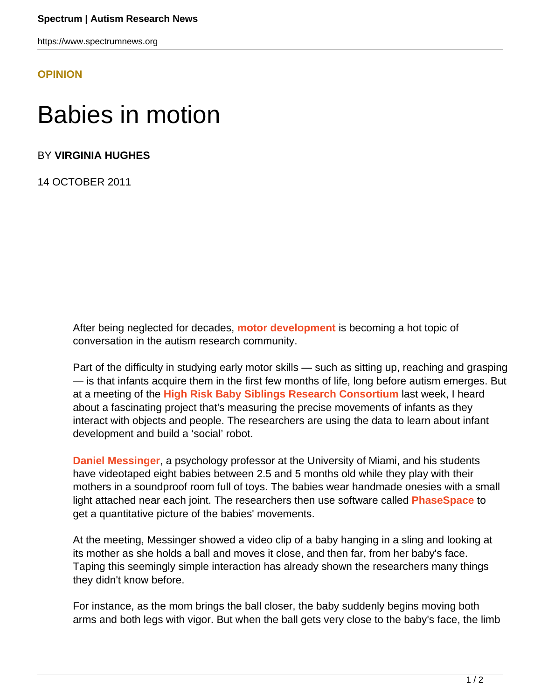https://www.spectrumnews.org

## **[OPINION](HTTPS://WWW.SPECTRUMNEWS.ORG/OPINION/)**

## Babies in motion

BY **VIRGINIA HUGHES**

14 OCTOBER 2011

After being neglected for decades, **[motor development](sticky-mittens)** is becoming a hot topic of conversation in the autism research community.

Part of the difficulty in studying early motor skills — such as sitting up, reaching and grasping — is that infants acquire them in the first few months of life, long before autism emerges. But at a meeting of the **[High Risk Baby Siblings Research Consortium](http://www.autismspeaks.org/science/initiatives/high-risk-baby-sibs)** last week, I heard about a fascinating project that's measuring the precise movements of infants as they interact with objects and people. The researchers are using the data to learn about infant development and build a 'social' robot.

**[Daniel Messinger](http://www.psy.miami.edu/faculty/dmessinger/)**, a psychology professor at the University of Miami, and his students have videotaped eight babies between 2.5 and 5 months old while they play with their mothers in a soundproof room full of toys. The babies wear handmade onesies with a small light attached near each joint. The researchers then use software called **[PhaseSpace](http://www.phasespace.com/)** to get a quantitative picture of the babies' movements.

At the meeting, Messinger showed a video clip of a baby hanging in a sling and looking at its mother as she holds a ball and moves it close, and then far, from her baby's face. Taping this seemingly simple interaction has already shown the researchers many things they didn't know before.

For instance, as the mom brings the ball closer, the baby suddenly begins moving both arms and both legs with vigor. But when the ball gets very close to the baby's face, the limb